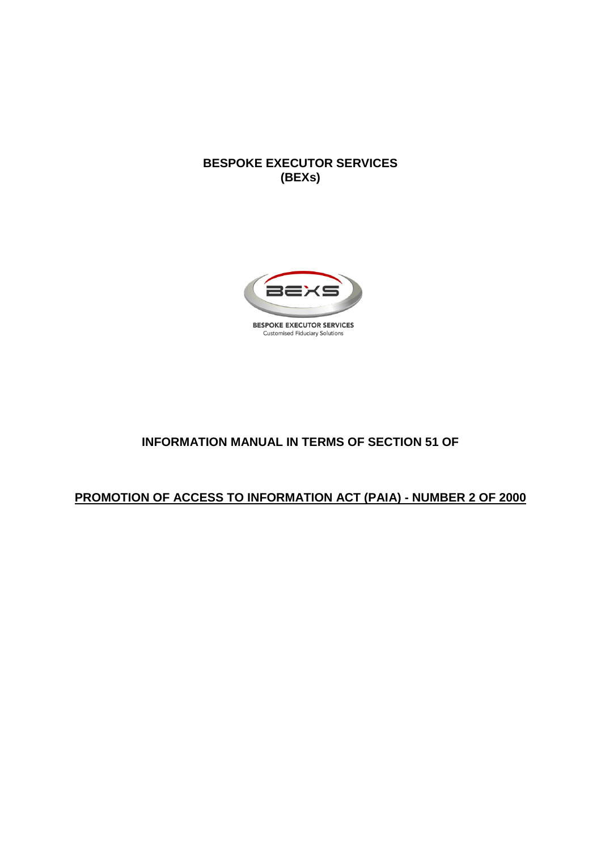#### **BESPOKE EXECUTOR SERVICES (BEXs)**



# **INFORMATION MANUAL IN TERMS OF SECTION 51 OF**

#### **PROMOTION OF ACCESS TO INFORMATION ACT (PAIA) - NUMBER 2 OF 2000**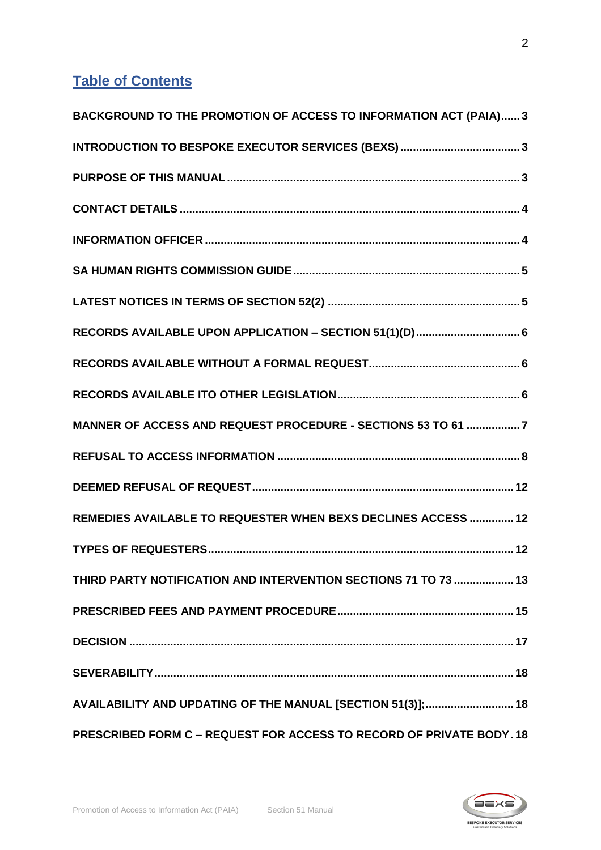# **Table of Contents**

| BACKGROUND TO THE PROMOTION OF ACCESS TO INFORMATION ACT (PAIA) 3    |
|----------------------------------------------------------------------|
|                                                                      |
|                                                                      |
|                                                                      |
|                                                                      |
|                                                                      |
|                                                                      |
|                                                                      |
|                                                                      |
|                                                                      |
| MANNER OF ACCESS AND REQUEST PROCEDURE - SECTIONS 53 TO 61 7         |
|                                                                      |
|                                                                      |
| REMEDIES AVAILABLE TO REQUESTER WHEN BEXS DECLINES ACCESS  12        |
|                                                                      |
| THIRD PARTY NOTIFICATION AND INTERVENTION SECTIONS 71 TO 73  13      |
|                                                                      |
|                                                                      |
|                                                                      |
| AVAILABILITY AND UPDATING OF THE MANUAL [SECTION 51(3)]; 18          |
| PRESCRIBED FORM C - REQUEST FOR ACCESS TO RECORD OF PRIVATE BODY. 18 |

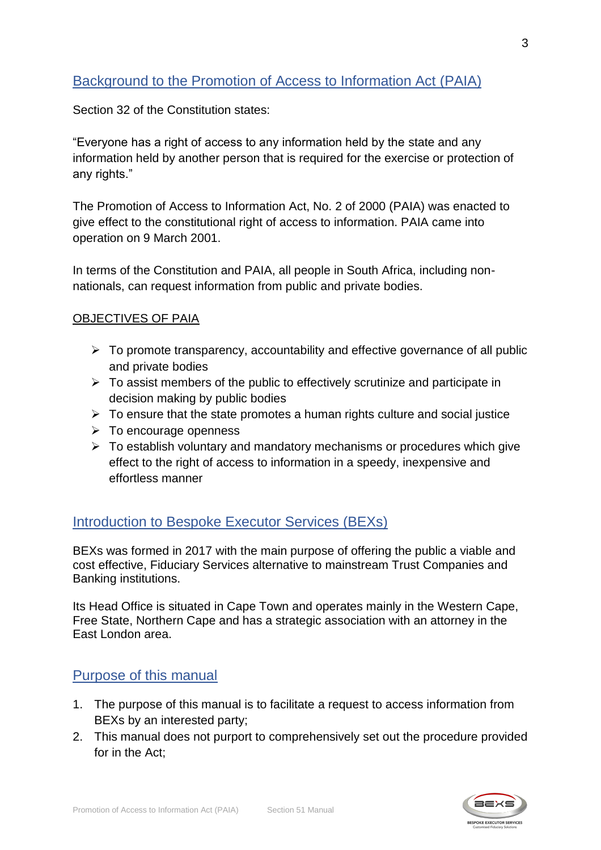# <span id="page-2-0"></span>Background to the Promotion of Access to Information Act (PAIA)

Section 32 of the Constitution states:

"Everyone has a right of access to any information held by the state and any information held by another person that is required for the exercise or protection of any rights."

The Promotion of Access to Information Act, No. 2 of 2000 (PAIA) was enacted to give effect to the constitutional right of access to information. PAIA came into operation on 9 March 2001.

In terms of the Constitution and PAIA, all people in South Africa, including nonnationals, can request information from public and private bodies.

#### OBJECTIVES OF PAIA

- $\triangleright$  To promote transparency, accountability and effective governance of all public and private bodies
- $\triangleright$  To assist members of the public to effectively scrutinize and participate in decision making by public bodies
- $\triangleright$  To ensure that the state promotes a human rights culture and social justice
- ➢ To encourage openness
- ➢ To establish voluntary and mandatory mechanisms or procedures which give effect to the right of access to information in a speedy, inexpensive and effortless manner

# <span id="page-2-1"></span>Introduction to Bespoke Executor Services (BEXs)

BEXs was formed in 2017 with the main purpose of offering the public a viable and cost effective, Fiduciary Services alternative to mainstream Trust Companies and Banking institutions.

Its Head Office is situated in Cape Town and operates mainly in the Western Cape, Free State, Northern Cape and has a strategic association with an attorney in the East London area.

# <span id="page-2-2"></span>Purpose of this manual

- 1. The purpose of this manual is to facilitate a request to access information from BEXs by an interested party;
- 2. This manual does not purport to comprehensively set out the procedure provided for in the Act;

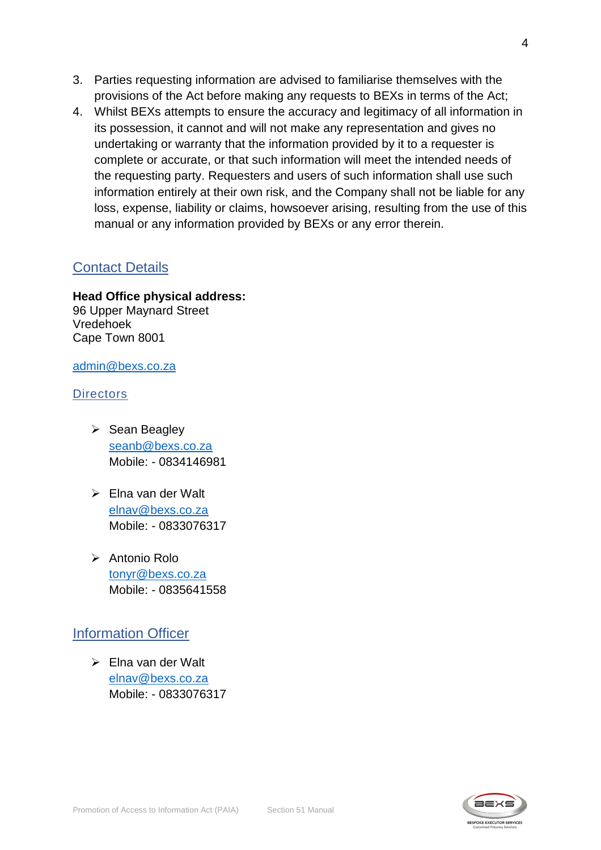- 3. Parties requesting information are advised to familiarise themselves with the provisions of the Act before making any requests to BEXs in terms of the Act;
- 4. Whilst BEXs attempts to ensure the accuracy and legitimacy of all information in its possession, it cannot and will not make any representation and gives no undertaking or warranty that the information provided by it to a requester is complete or accurate, or that such information will meet the intended needs of the requesting party. Requesters and users of such information shall use such information entirely at their own risk, and the Company shall not be liable for any loss, expense, liability or claims, howsoever arising, resulting from the use of this manual or any information provided by BEXs or any error therein.

### <span id="page-3-0"></span>Contact Details

#### **Head Office physical address:**

96 Upper Maynard Street Vredehoek Cape Town 8001

#### [admin@bexs.co.za](mailto:admin@bexs.co.za)

#### **Directors**

- ➢ Sean Beagley [seanb@bexs.co.za](mailto:seanb@bexs.co.za) Mobile: - 0834146981
- ➢ Elna van der Walt [elnav@bexs.co.za](mailto:elnav@bexs.co.za) Mobile: - 0833076317
- ➢ Antonio Rolo [tonyr@bexs.co.za](mailto:tonyr@bexs.co.za) Mobile: - 0835641558

# <span id="page-3-1"></span>Information Officer

➢ Elna van der Walt [elnav@bexs.co.za](mailto:elnav@bexs.co.za) Mobile: - 0833076317

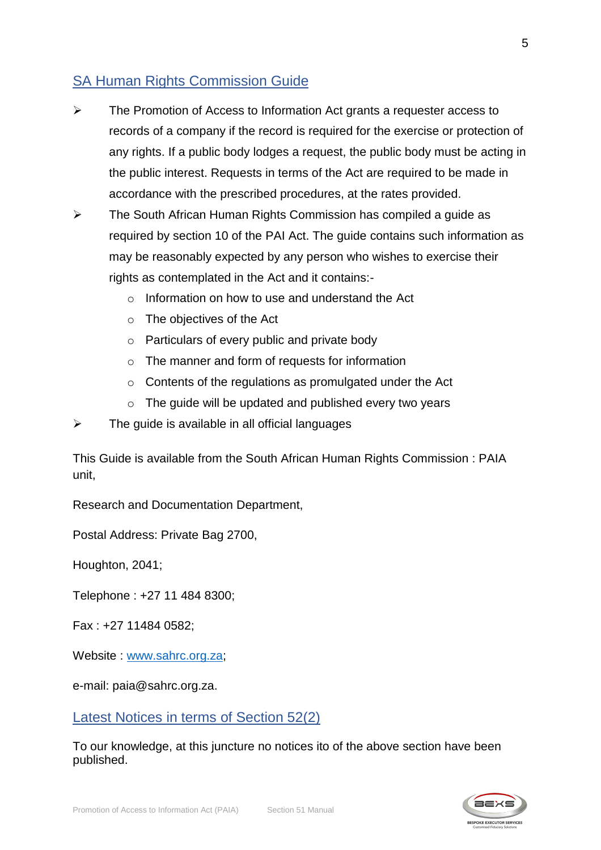# <span id="page-4-0"></span>SA Human Rights Commission Guide

- ➢ The Promotion of Access to Information Act grants a requester access to records of a company if the record is required for the exercise or protection of any rights. If a public body lodges a request, the public body must be acting in the public interest. Requests in terms of the Act are required to be made in accordance with the prescribed procedures, at the rates provided.
- ➢ The South African Human Rights Commission has compiled a guide as required by section 10 of the PAI Act. The guide contains such information as may be reasonably expected by any person who wishes to exercise their rights as contemplated in the Act and it contains:-
	- $\circ$  Information on how to use and understand the Act
	- o The objectives of the Act
	- o Particulars of every public and private body
	- o The manner and form of requests for information
	- o Contents of the regulations as promulgated under the Act
	- $\circ$  The quide will be updated and published every two years
- $\triangleright$  The guide is available in all official languages

This Guide is available from the South African Human Rights Commission : PAIA unit,

Research and Documentation Department,

Postal Address: Private Bag 2700,

Houghton, 2041;

Telephone : +27 11 484 8300;

Fax : +27 11484 0582;

Website : [www.sahrc.org.za;](http://www.sahrc.org.za/)

e-mail: paia@sahrc.org.za.

<span id="page-4-1"></span>Latest Notices in terms of Section 52(2)

To our knowledge, at this juncture no notices ito of the above section have been published.

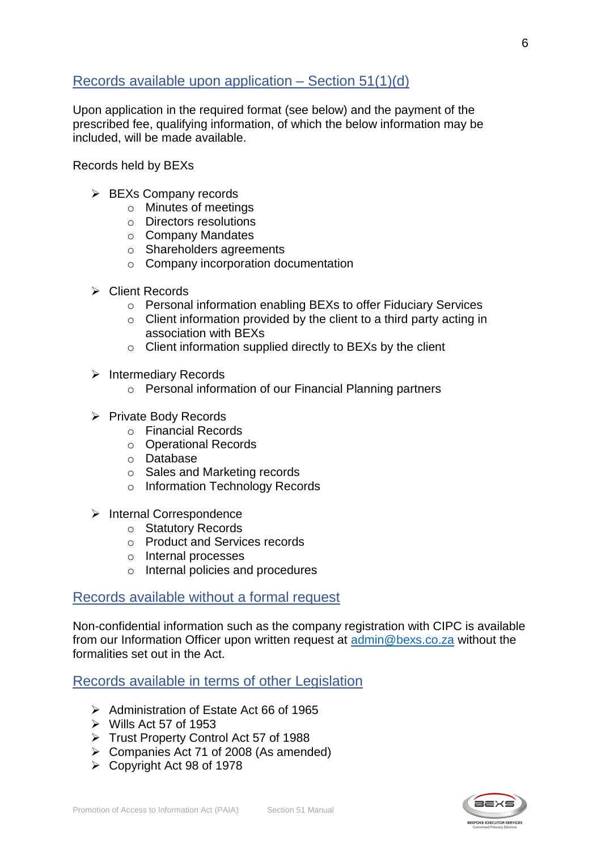# <span id="page-5-0"></span>Records available upon application – Section 51(1)(d)

Upon application in the required format (see below) and the payment of the prescribed fee, qualifying information, of which the below information may be included, will be made available.

Records held by BEXs

- ➢ BEXs Company records
	- o Minutes of meetings
	- o Directors resolutions
	- o Company Mandates
	- o Shareholders agreements
	- o Company incorporation documentation
- ➢ Client Records
	- o Personal information enabling BEXs to offer Fiduciary Services
	- $\circ$  Client information provided by the client to a third party acting in association with BEXs
	- o Client information supplied directly to BEXs by the client
- ➢ Intermediary Records
	- o Personal information of our Financial Planning partners
- ➢ Private Body Records
	- o Financial Records
	- o Operational Records
	- o Database
	- o Sales and Marketing records
	- o Information Technology Records
- ➢ Internal Correspondence
	- o Statutory Records
	- o Product and Services records
	- o Internal processes
	- o Internal policies and procedures

#### <span id="page-5-1"></span>Records available without a formal request

Non-confidential information such as the company registration with CIPC is available from our Information Officer upon written request at [admin@bexs.co.za](mailto:admin@bexs.co.za) without the formalities set out in the Act.

<span id="page-5-2"></span>Records available in terms of other Legislation

- ➢ Administration of Estate Act 66 of 1965
- $\triangleright$  Wills Act 57 of 1953
- ➢ Trust Property Control Act 57 of 1988
- ➢ Companies Act 71 of 2008 (As amended)
- ➢ Copyright Act 98 of 1978

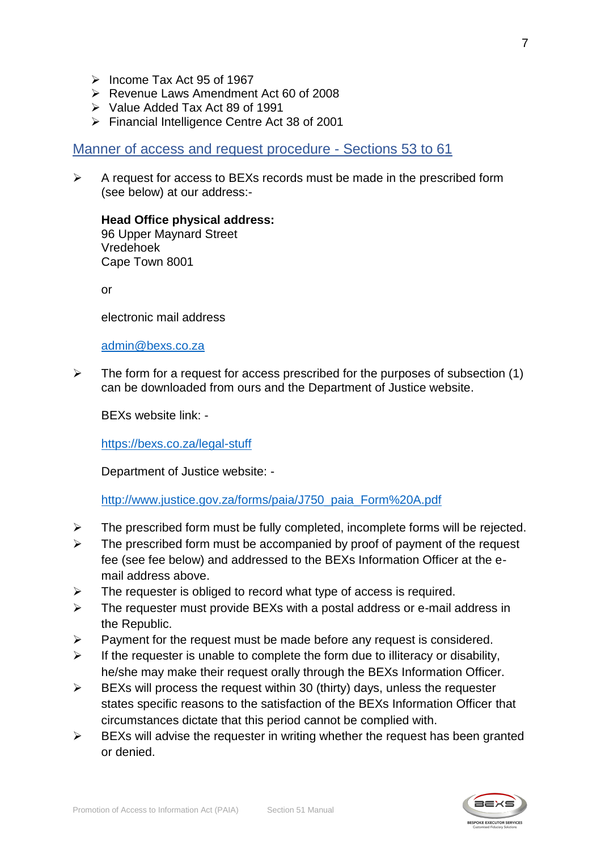- ➢ Income Tax Act 95 of 1967
- ➢ Revenue Laws Amendment Act 60 of 2008
- ➢ Value Added Tax Act 89 of 1991
- ➢ Financial Intelligence Centre Act 38 of 2001

<span id="page-6-0"></span>Manner of access and request procedure - Sections 53 to 61

 $\triangleright$  A request for access to BEXs records must be made in the prescribed form (see below) at our address:-

#### **Head Office physical address:** 96 Upper Maynard Street Vredehoek Cape Town 8001

or

electronic mail address

[admin@bexs.co.za](mailto:admin@bexs.co.za)

 $\triangleright$  The form for a request for access prescribed for the purposes of subsection (1) can be downloaded from ours and the Department of Justice website.

BEXs website link: -

[https://bexs.co.za/legal-stuff](https://bexs.co.za/sites/default/files/Request%20for%20Information%20under%20PAIA%20form-1.pdf)

Department of Justice website: -

[http://www.justice.gov.za/forms/paia/J750\\_paia\\_Form%20A.pdf](http://www.justice.gov.za/forms/paia/J750_paia_Form%20A.pdf)

- ➢ The prescribed form must be fully completed, incomplete forms will be rejected.
- $\triangleright$  The prescribed form must be accompanied by proof of payment of the request fee (see fee below) and addressed to the BEXs Information Officer at the email address above.
- $\triangleright$  The requester is obliged to record what type of access is required.
- ➢ The requester must provide BEXs with a postal address or e-mail address in the Republic.
- $\triangleright$  Payment for the request must be made before any request is considered.
- $\triangleright$  If the requester is unable to complete the form due to illiteracy or disability, he/she may make their request orally through the BEXs Information Officer.
- $\triangleright$  BEXs will process the request within 30 (thirty) days, unless the requester states specific reasons to the satisfaction of the BEXs Information Officer that circumstances dictate that this period cannot be complied with.
- $\triangleright$  BEXs will advise the requester in writing whether the request has been granted or denied.

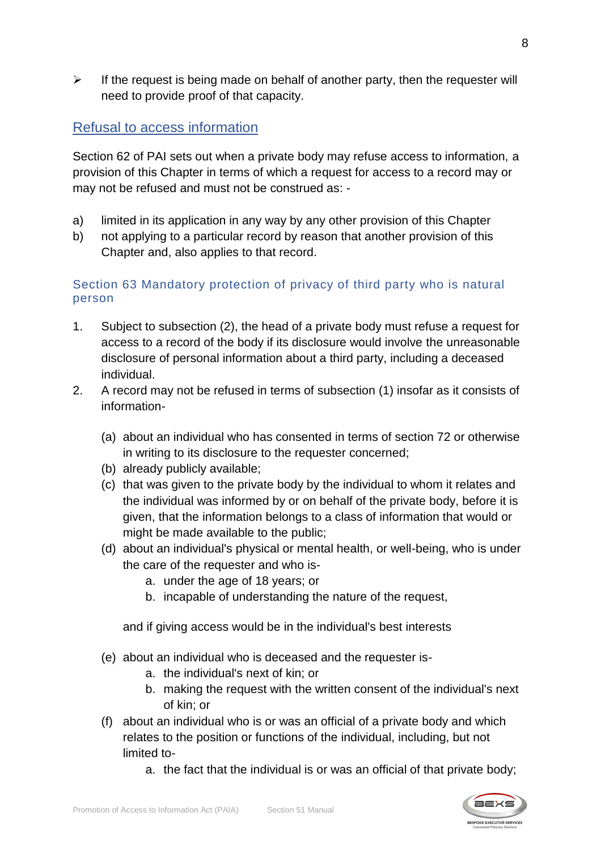$\triangleright$  If the request is being made on behalf of another party, then the requester will need to provide proof of that capacity.

# <span id="page-7-0"></span>Refusal to access information

Section 62 of PAI sets out when a private body may refuse access to information, a provision of this Chapter in terms of which a request for access to a record may or may not be refused and must not be construed as: -

- a) limited in its application in any way by any other provision of this Chapter
- b) not applying to a particular record by reason that another provision of this Chapter and, also applies to that record.

### Section 63 Mandatory protection of privacy of third party who is natural person

- 1. Subject to subsection (2), the head of a private body must refuse a request for access to a record of the body if its disclosure would involve the unreasonable disclosure of personal information about a third party, including a deceased individual.
- 2. A record may not be refused in terms of subsection (1) insofar as it consists of information-
	- (a) about an individual who has consented in terms of section 72 or otherwise in writing to its disclosure to the requester concerned;
	- (b) already publicly available;
	- (c) that was given to the private body by the individual to whom it relates and the individual was informed by or on behalf of the private body, before it is given, that the information belongs to a class of information that would or might be made available to the public;
	- (d) about an individual's physical or mental health, or well-being, who is under the care of the requester and who is
		- a. under the age of 18 years; or
		- b. incapable of understanding the nature of the request,

and if giving access would be in the individual's best interests

- (e) about an individual who is deceased and the requester is
	- a. the individual's next of kin; or
	- b. making the request with the written consent of the individual's next of kin; or
- (f) about an individual who is or was an official of a private body and which relates to the position or functions of the individual, including, but not limited to
	- a. the fact that the individual is or was an official of that private body;

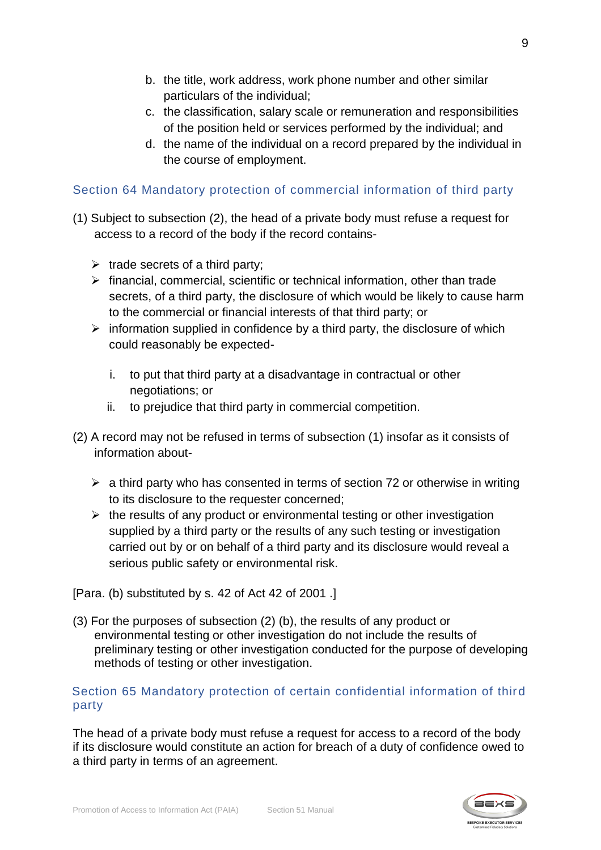- b. the title, work address, work phone number and other similar particulars of the individual;
- c. the classification, salary scale or remuneration and responsibilities of the position held or services performed by the individual; and
- d. the name of the individual on a record prepared by the individual in the course of employment.

### Section 64 Mandatory protection of commercial information of third party

- (1) Subject to subsection (2), the head of a private body must refuse a request for access to a record of the body if the record contains-
	- $\triangleright$  trade secrets of a third party;
	- ➢ financial, commercial, scientific or technical information, other than trade secrets, of a third party, the disclosure of which would be likely to cause harm to the commercial or financial interests of that third party; or
	- $\triangleright$  information supplied in confidence by a third party, the disclosure of which could reasonably be expected
		- i. to put that third party at a disadvantage in contractual or other negotiations; or
		- ii. to prejudice that third party in commercial competition.
- (2) A record may not be refused in terms of subsection (1) insofar as it consists of information about-
	- $\geq$  a third party who has consented in terms of section 72 or otherwise in writing to its disclosure to the requester concerned;
	- $\triangleright$  the results of any product or environmental testing or other investigation supplied by a third party or the results of any such testing or investigation carried out by or on behalf of a third party and its disclosure would reveal a serious public safety or environmental risk.

[Para. (b) substituted by s. 42 of Act 42 of 2001 .]

(3) For the purposes of subsection (2) (b), the results of any product or environmental testing or other investigation do not include the results of preliminary testing or other investigation conducted for the purpose of developing methods of testing or other investigation.

#### Section 65 Mandatory protection of certain confidential information of third party

The head of a private body must refuse a request for access to a record of the body if its disclosure would constitute an action for breach of a duty of confidence owed to a third party in terms of an agreement.

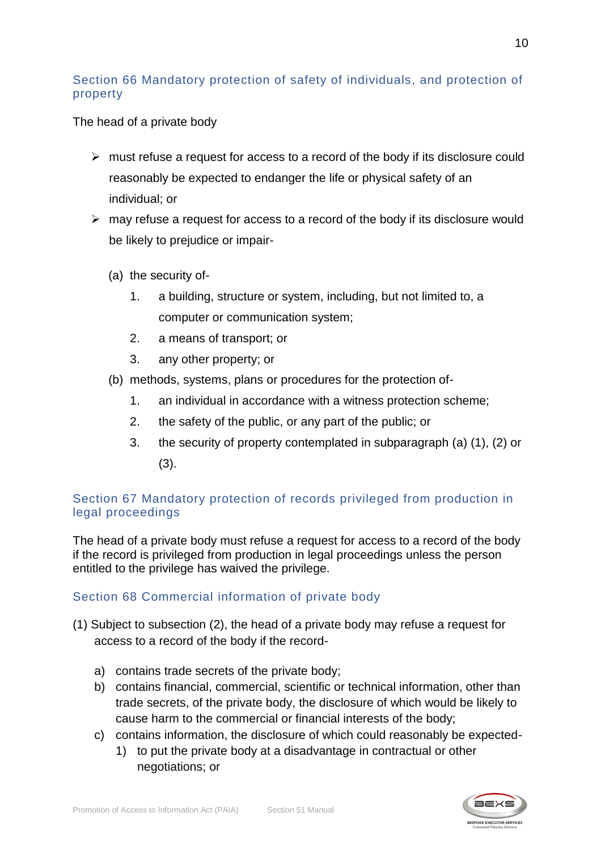### Section 66 Mandatory protection of safety of individuals, and protection of property

The head of a private body

- $\triangleright$  must refuse a request for access to a record of the body if its disclosure could reasonably be expected to endanger the life or physical safety of an individual; or
- $\triangleright$  may refuse a request for access to a record of the body if its disclosure would be likely to prejudice or impair-
	- (a) the security of-
		- 1. a building, structure or system, including, but not limited to, a computer or communication system;
		- 2. a means of transport; or
		- 3. any other property; or
	- (b) methods, systems, plans or procedures for the protection of-
		- 1. an individual in accordance with a witness protection scheme;
		- 2. the safety of the public, or any part of the public; or
		- 3. the security of property contemplated in subparagraph (a) (1), (2) or (3).

# Section 67 Mandatory protection of records privileged from production in legal proceedings

The head of a private body must refuse a request for access to a record of the body if the record is privileged from production in legal proceedings unless the person entitled to the privilege has waived the privilege.

# Section 68 Commercial information of private body

- (1) Subject to subsection (2), the head of a private body may refuse a request for access to a record of the body if the record
	- a) contains trade secrets of the private body;
	- b) contains financial, commercial, scientific or technical information, other than trade secrets, of the private body, the disclosure of which would be likely to cause harm to the commercial or financial interests of the body;
	- c) contains information, the disclosure of which could reasonably be expected-
		- 1) to put the private body at a disadvantage in contractual or other negotiations; or

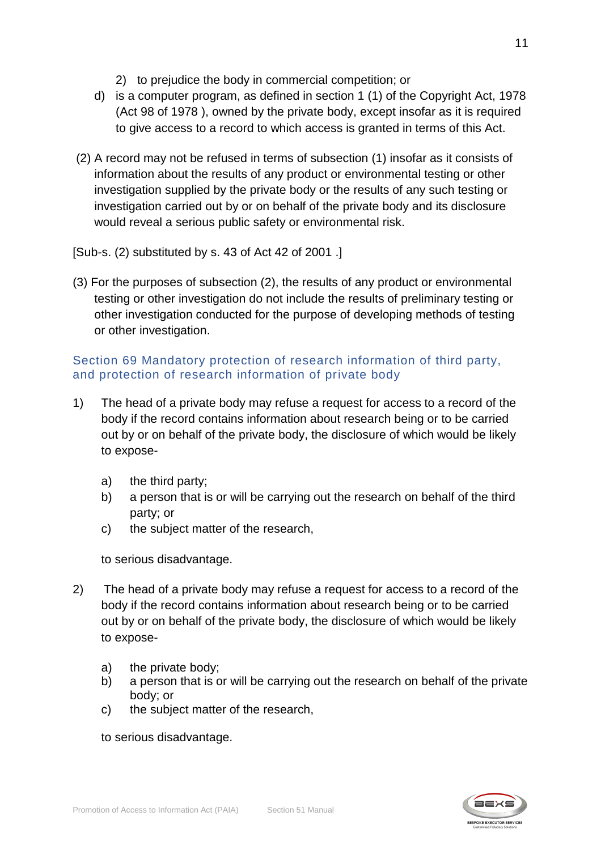- 2) to prejudice the body in commercial competition; or
- d) is a computer program, as defined in section 1 (1) of the Copyright Act, 1978 (Act 98 of 1978 ), owned by the private body, except insofar as it is required to give access to a record to which access is granted in terms of this Act.
- (2) A record may not be refused in terms of subsection (1) insofar as it consists of information about the results of any product or environmental testing or other investigation supplied by the private body or the results of any such testing or investigation carried out by or on behalf of the private body and its disclosure would reveal a serious public safety or environmental risk.

[Sub-s. (2) substituted by s. 43 of Act 42 of 2001 .]

(3) For the purposes of subsection (2), the results of any product or environmental testing or other investigation do not include the results of preliminary testing or other investigation conducted for the purpose of developing methods of testing or other investigation.

### Section 69 Mandatory protection of research information of third party, and protection of research information of private body

- 1) The head of a private body may refuse a request for access to a record of the body if the record contains information about research being or to be carried out by or on behalf of the private body, the disclosure of which would be likely to expose
	- a) the third party;
	- b) a person that is or will be carrying out the research on behalf of the third party; or
	- c) the subject matter of the research,

to serious disadvantage.

- 2) The head of a private body may refuse a request for access to a record of the body if the record contains information about research being or to be carried out by or on behalf of the private body, the disclosure of which would be likely to expose
	- a) the private body;
	- b) a person that is or will be carrying out the research on behalf of the private body; or
	- c) the subject matter of the research,

to serious disadvantage.

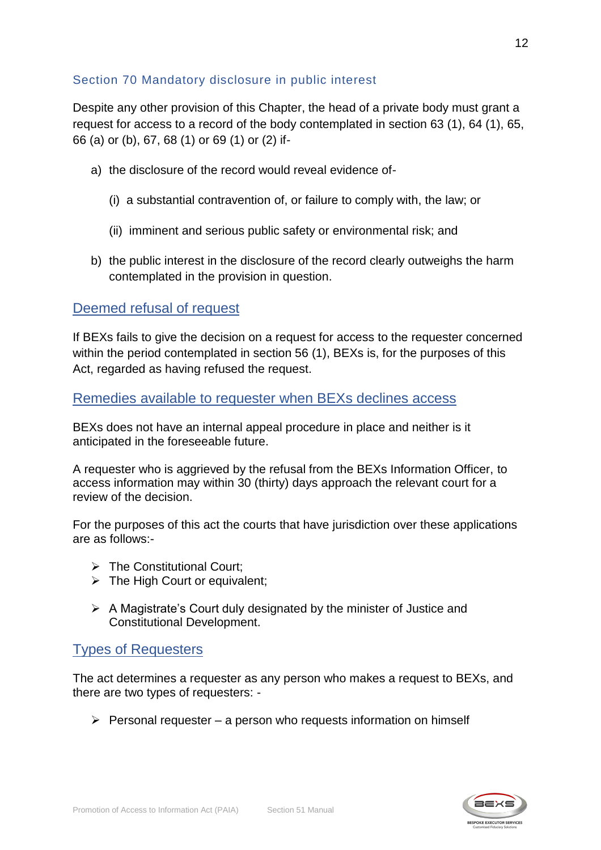### Section 70 Mandatory disclosure in public interest

Despite any other provision of this Chapter, the head of a private body must grant a request for access to a record of the body contemplated in section 63 (1), 64 (1), 65, 66 (a) or (b), 67, 68 (1) or 69 (1) or (2) if-

- a) the disclosure of the record would reveal evidence of-
	- (i) a substantial contravention of, or failure to comply with, the law; or
	- (ii) imminent and serious public safety or environmental risk; and
- b) the public interest in the disclosure of the record clearly outweighs the harm contemplated in the provision in question.

### <span id="page-11-0"></span>Deemed refusal of request

If BEXs fails to give the decision on a request for access to the requester concerned within the period contemplated in section 56 (1), BEXs is, for the purposes of this Act, regarded as having refused the request.

<span id="page-11-1"></span>Remedies available to requester when BEXs declines access

BEXs does not have an internal appeal procedure in place and neither is it anticipated in the foreseeable future.

A requester who is aggrieved by the refusal from the BEXs Information Officer, to access information may within 30 (thirty) days approach the relevant court for a review of the decision.

For the purposes of this act the courts that have jurisdiction over these applications are as follows:-

- ➢ The Constitutional Court;
- ➢ The High Court or equivalent;
- ➢ A Magistrate's Court duly designated by the minister of Justice and Constitutional Development.

#### <span id="page-11-2"></span>Types of Requesters

The act determines a requester as any person who makes a request to BEXs, and there are two types of requesters: -

 $\triangleright$  Personal requester – a person who requests information on himself

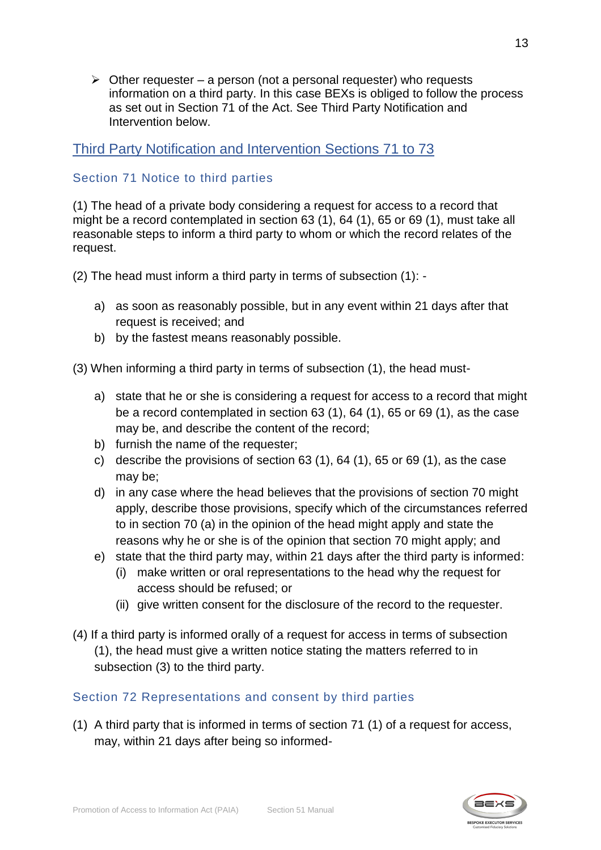$\triangleright$  Other requester – a person (not a personal requester) who requests information on a third party. In this case BEXs is obliged to follow the process as set out in Section 71 of the Act. See Third Party Notification and Intervention below.

# <span id="page-12-0"></span>Third Party Notification and Intervention Sections 71 to 73

#### Section 71 Notice to third parties

(1) The head of a private body considering a request for access to a record that might be a record contemplated in section 63 (1), 64 (1), 65 or 69 (1), must take all reasonable steps to inform a third party to whom or which the record relates of the request.

(2) The head must inform a third party in terms of subsection (1): -

- a) as soon as reasonably possible, but in any event within 21 days after that request is received; and
- b) by the fastest means reasonably possible.

(3) When informing a third party in terms of subsection (1), the head must-

- a) state that he or she is considering a request for access to a record that might be a record contemplated in section 63 (1), 64 (1), 65 or 69 (1), as the case may be, and describe the content of the record;
- b) furnish the name of the requester;
- c) describe the provisions of section  $63$  (1),  $64$  (1),  $65$  or  $69$  (1), as the case may be;
- d) in any case where the head believes that the provisions of section 70 might apply, describe those provisions, specify which of the circumstances referred to in section 70 (a) in the opinion of the head might apply and state the reasons why he or she is of the opinion that section 70 might apply; and
- e) state that the third party may, within 21 days after the third party is informed:
	- (i) make written or oral representations to the head why the request for access should be refused; or
	- (ii) give written consent for the disclosure of the record to the requester.
- (4) If a third party is informed orally of a request for access in terms of subsection (1), the head must give a written notice stating the matters referred to in subsection (3) to the third party.

#### Section 72 Representations and consent by third parties

(1) A third party that is informed in terms of section 71 (1) of a request for access, may, within 21 days after being so informed-

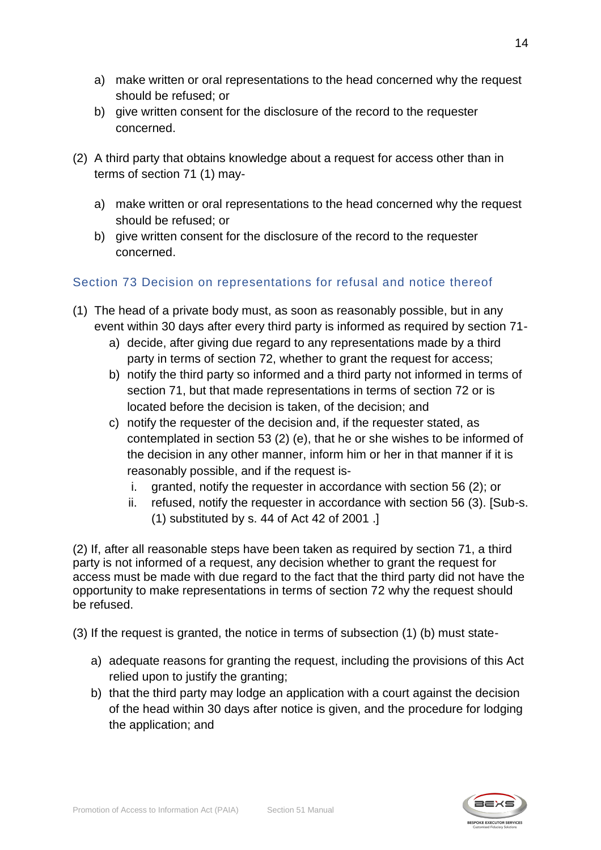- a) make written or oral representations to the head concerned why the request should be refused; or
- b) give written consent for the disclosure of the record to the requester concerned.
- (2) A third party that obtains knowledge about a request for access other than in terms of section 71 (1) may
	- a) make written or oral representations to the head concerned why the request should be refused; or
	- b) give written consent for the disclosure of the record to the requester concerned.

# Section 73 Decision on representations for refusal and notice thereof

- (1) The head of a private body must, as soon as reasonably possible, but in any event within 30 days after every third party is informed as required by section 71
	- a) decide, after giving due regard to any representations made by a third party in terms of section 72, whether to grant the request for access;
	- b) notify the third party so informed and a third party not informed in terms of section 71, but that made representations in terms of section 72 or is located before the decision is taken, of the decision; and
	- c) notify the requester of the decision and, if the requester stated, as contemplated in section 53 (2) (e), that he or she wishes to be informed of the decision in any other manner, inform him or her in that manner if it is reasonably possible, and if the request is
		- i. granted, notify the requester in accordance with section 56 (2); or
		- ii. refused, notify the requester in accordance with section 56 (3). [Sub-s. (1) substituted by s. 44 of Act 42 of 2001 .]

(2) If, after all reasonable steps have been taken as required by section 71, a third party is not informed of a request, any decision whether to grant the request for access must be made with due regard to the fact that the third party did not have the opportunity to make representations in terms of section 72 why the request should be refused.

(3) If the request is granted, the notice in terms of subsection (1) (b) must state-

- a) adequate reasons for granting the request, including the provisions of this Act relied upon to justify the granting;
- b) that the third party may lodge an application with a court against the decision of the head within 30 days after notice is given, and the procedure for lodging the application; and

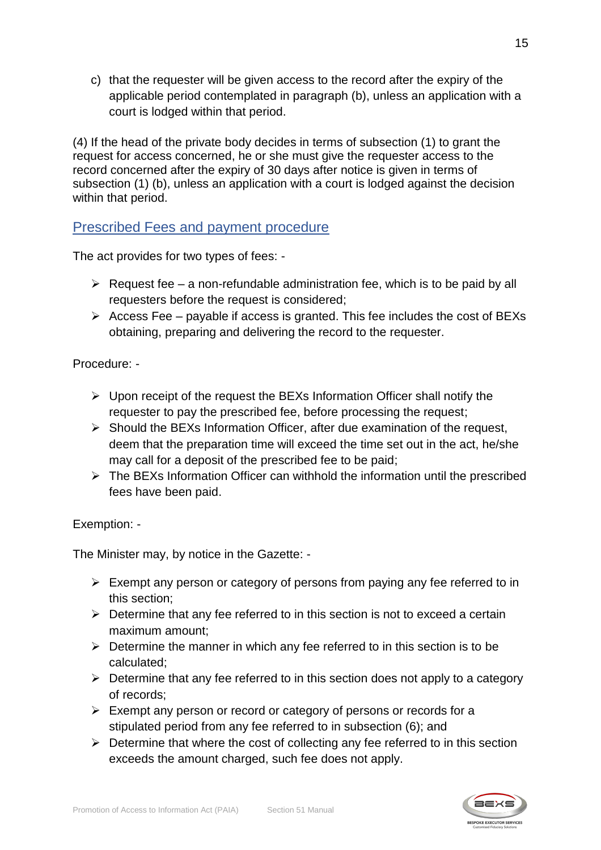c) that the requester will be given access to the record after the expiry of the applicable period contemplated in paragraph (b), unless an application with a court is lodged within that period.

(4) If the head of the private body decides in terms of subsection (1) to grant the request for access concerned, he or she must give the requester access to the record concerned after the expiry of 30 days after notice is given in terms of subsection (1) (b), unless an application with a court is lodged against the decision within that period.

# <span id="page-14-0"></span>Prescribed Fees and payment procedure

The act provides for two types of fees: -

- $\triangleright$  Request fee a non-refundable administration fee, which is to be paid by all requesters before the request is considered;
- $\triangleright$  Access Fee payable if access is granted. This fee includes the cost of BEXs obtaining, preparing and delivering the record to the requester.

### Procedure: -

- $\triangleright$  Upon receipt of the request the BEXs Information Officer shall notify the requester to pay the prescribed fee, before processing the request;
- ➢ Should the BEXs Information Officer, after due examination of the request, deem that the preparation time will exceed the time set out in the act, he/she may call for a deposit of the prescribed fee to be paid;
- ➢ The BEXs Information Officer can withhold the information until the prescribed fees have been paid.

#### Exemption: -

The Minister may, by notice in the Gazette: -

- ➢ Exempt any person or category of persons from paying any fee referred to in this section;
- $\triangleright$  Determine that any fee referred to in this section is not to exceed a certain maximum amount;
- $\triangleright$  Determine the manner in which any fee referred to in this section is to be calculated;
- ➢ Determine that any fee referred to in this section does not apply to a category of records;
- $\triangleright$  Exempt any person or record or category of persons or records for a stipulated period from any fee referred to in subsection (6); and
- $\triangleright$  Determine that where the cost of collecting any fee referred to in this section exceeds the amount charged, such fee does not apply.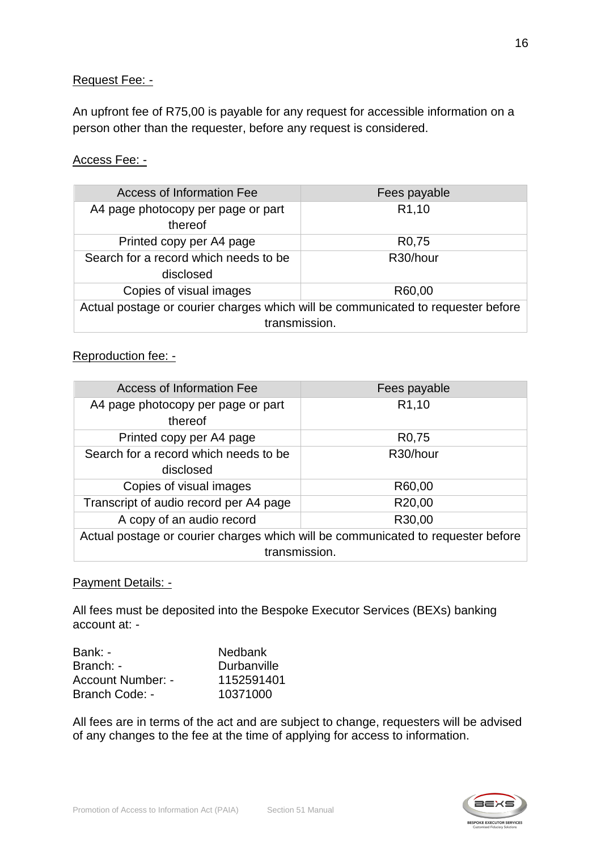#### Request Fee: -

An upfront fee of R75,00 is payable for any request for accessible information on a person other than the requester, before any request is considered.

#### Access Fee: -

| Access of Information Fee                                                                         | Fees payable       |  |
|---------------------------------------------------------------------------------------------------|--------------------|--|
| A4 page photocopy per page or part<br>thereof                                                     | R <sub>1</sub> ,10 |  |
| Printed copy per A4 page                                                                          | R <sub>0</sub> ,75 |  |
| Search for a record which needs to be<br>disclosed                                                | R30/hour           |  |
| Copies of visual images                                                                           | R60,00             |  |
| Actual postage or courier charges which will be communicated to requester before<br>transmission. |                    |  |
|                                                                                                   |                    |  |

#### Reproduction fee: -

| Access of Information Fee                                                        | Fees payable        |  |
|----------------------------------------------------------------------------------|---------------------|--|
| A4 page photocopy per page or part<br>thereof                                    | R <sub>1</sub> ,10  |  |
| Printed copy per A4 page                                                         | R <sub>0</sub> ,75  |  |
| Search for a record which needs to be                                            | R30/hour            |  |
| disclosed                                                                        |                     |  |
| Copies of visual images                                                          | R60,00              |  |
| Transcript of audio record per A4 page                                           | R <sub>20</sub> ,00 |  |
| A copy of an audio record                                                        | R30,00              |  |
| Actual postage or courier charges which will be communicated to requester before |                     |  |
| transmission.                                                                    |                     |  |

#### Payment Details: -

All fees must be deposited into the Bespoke Executor Services (BEXs) banking account at: -

| Bank: -                  | <b>Nedbank</b> |
|--------------------------|----------------|
| Branch: -                | Durbanville    |
| <b>Account Number: -</b> | 1152591401     |
| Branch Code: -           | 10371000       |

All fees are in terms of the act and are subject to change, requesters will be advised of any changes to the fee at the time of applying for access to information.

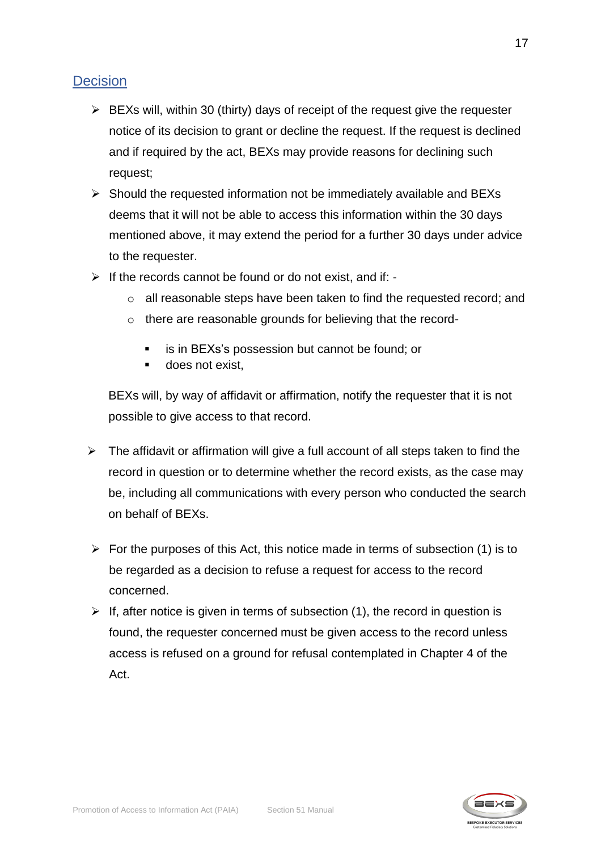# <span id="page-16-0"></span>**Decision**

- $\triangleright$  BEXs will, within 30 (thirty) days of receipt of the request give the requester notice of its decision to grant or decline the request. If the request is declined and if required by the act, BEXs may provide reasons for declining such request;
- ➢ Should the requested information not be immediately available and BEXs deems that it will not be able to access this information within the 30 days mentioned above, it may extend the period for a further 30 days under advice to the requester.
- ➢ If the records cannot be found or do not exist, and if:
	- o all reasonable steps have been taken to find the requested record; and
	- o there are reasonable grounds for believing that the record-
		- is in BEXs's possession but cannot be found; or
		- does not exist.

BEXs will, by way of affidavit or affirmation, notify the requester that it is not possible to give access to that record.

- $\triangleright$  The affidavit or affirmation will give a full account of all steps taken to find the record in question or to determine whether the record exists, as the case may be, including all communications with every person who conducted the search on behalf of BEXs.
- $\triangleright$  For the purposes of this Act, this notice made in terms of subsection (1) is to be regarded as a decision to refuse a request for access to the record concerned.
- $\triangleright$  If, after notice is given in terms of subsection (1), the record in question is found, the requester concerned must be given access to the record unless access is refused on a ground for refusal contemplated in Chapter 4 of the Act.